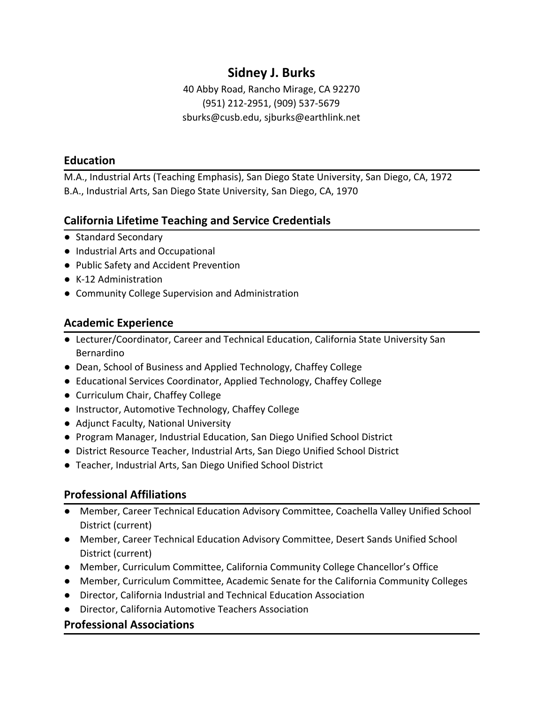# **Sidney J. Burks**

40 Abby Road, Rancho Mirage, CA 92270 (951) 212-2951, (909) 537-5679 [sburks@cusb.edu,](mailto:sburks@cusb.edu) [sjburks@earthlink.net](mailto:sjburks@earthlink.net)

### **Education**

M.A., Industrial Arts (Teaching Emphasis), San Diego State University, San Diego, CA, 1972 B.A., Industrial Arts, San Diego State University, San Diego, CA, 1970

## **California Lifetime Teaching and Service Credentials**

- Standard Secondary
- Industrial Arts and Occupational
- Public Safety and Accident Prevention
- K-12 Administration
- Community College Supervision and Administration

# **Academic Experience**

- Lecturer/Coordinator, Career and Technical Education, California State University San Bernardino
- Dean, School of Business and Applied Technology, Chaffey College
- Educational Services Coordinator, Applied Technology, Chaffey College
- Curriculum Chair, Chaffey College
- Instructor, Automotive Technology, Chaffey College
- Adjunct Faculty, National University
- Program Manager, Industrial Education, San Diego Unified School District
- District Resource Teacher, Industrial Arts, San Diego Unified School District
- Teacher, Industrial Arts, San Diego Unified School District

## **Professional Affiliations**

- Member, Career Technical Education Advisory Committee, Coachella Valley Unified School District (current)
- Member, Career Technical Education Advisory Committee, Desert Sands Unified School District (current)
- Member, Curriculum Committee, California Community College Chancellor's Office
- Member, Curriculum Committee, Academic Senate for the California Community Colleges
- Director, California Industrial and Technical Education Association
- Director, California Automotive Teachers Association

### **Professional Associations**